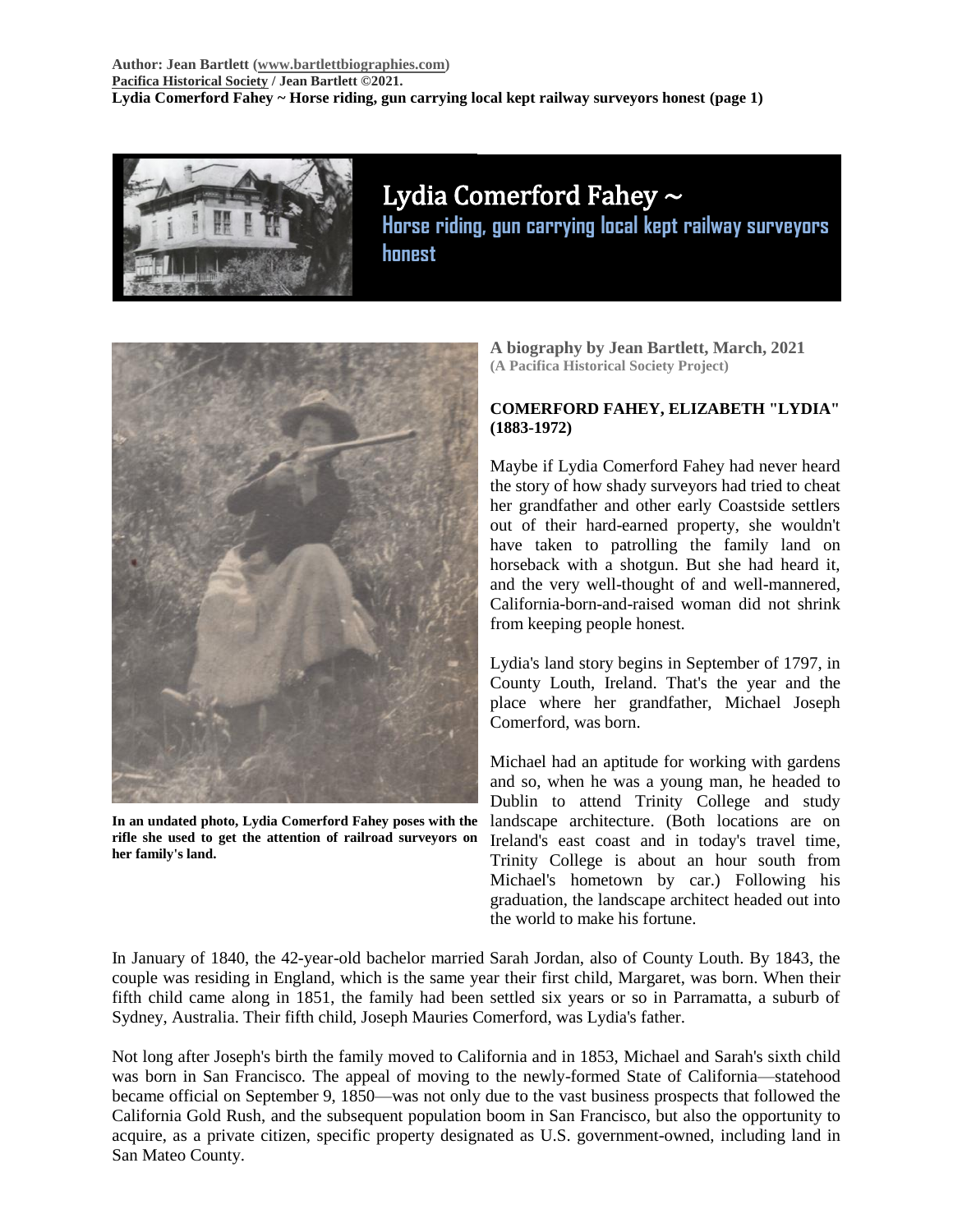

# Lydia Comerford Fahey ~

**Horse riding, gun carrying local kept railway surveyors honest**



**In an undated photo, Lydia Comerford Fahey poses with the rifle she used to get the attention of railroad surveyors on her family's land.**

**A biography by Jean Bartlett, March, 2021 (A Pacifica Historical Society Project)**

### **COMERFORD FAHEY, ELIZABETH "LYDIA" (1883-1972)**

Maybe if Lydia Comerford Fahey had never heard the story of how shady surveyors had tried to cheat her grandfather and other early Coastside settlers out of their hard-earned property, she wouldn't have taken to patrolling the family land on horseback with a shotgun. But she had heard it, and the very well-thought of and well-mannered, California-born-and-raised woman did not shrink from keeping people honest.

Lydia's land story begins in September of 1797, in County Louth, Ireland. That's the year and the place where her grandfather, Michael Joseph Comerford, was born.

Michael had an aptitude for working with gardens and so, when he was a young man, he headed to Dublin to attend Trinity College and study landscape architecture. (Both locations are on Ireland's east coast and in today's travel time, Trinity College is about an hour south from Michael's hometown by car.) Following his graduation, the landscape architect headed out into the world to make his fortune.

In January of 1840, the 42-year-old bachelor married Sarah Jordan, also of County Louth. By 1843, the couple was residing in England, which is the same year their first child, Margaret, was born. When their fifth child came along in 1851, the family had been settled six years or so in Parramatta, a suburb of Sydney, Australia. Their fifth child, Joseph Mauries Comerford, was Lydia's father.

Not long after Joseph's birth the family moved to California and in 1853, Michael and Sarah's sixth child was born in San Francisco. The appeal of moving to the newly-formed State of California—statehood became official on September 9, 1850—was not only due to the vast business prospects that followed the California Gold Rush, and the subsequent population boom in San Francisco, but also the opportunity to acquire, as a private citizen, specific property designated as U.S. government-owned, including land in San Mateo County.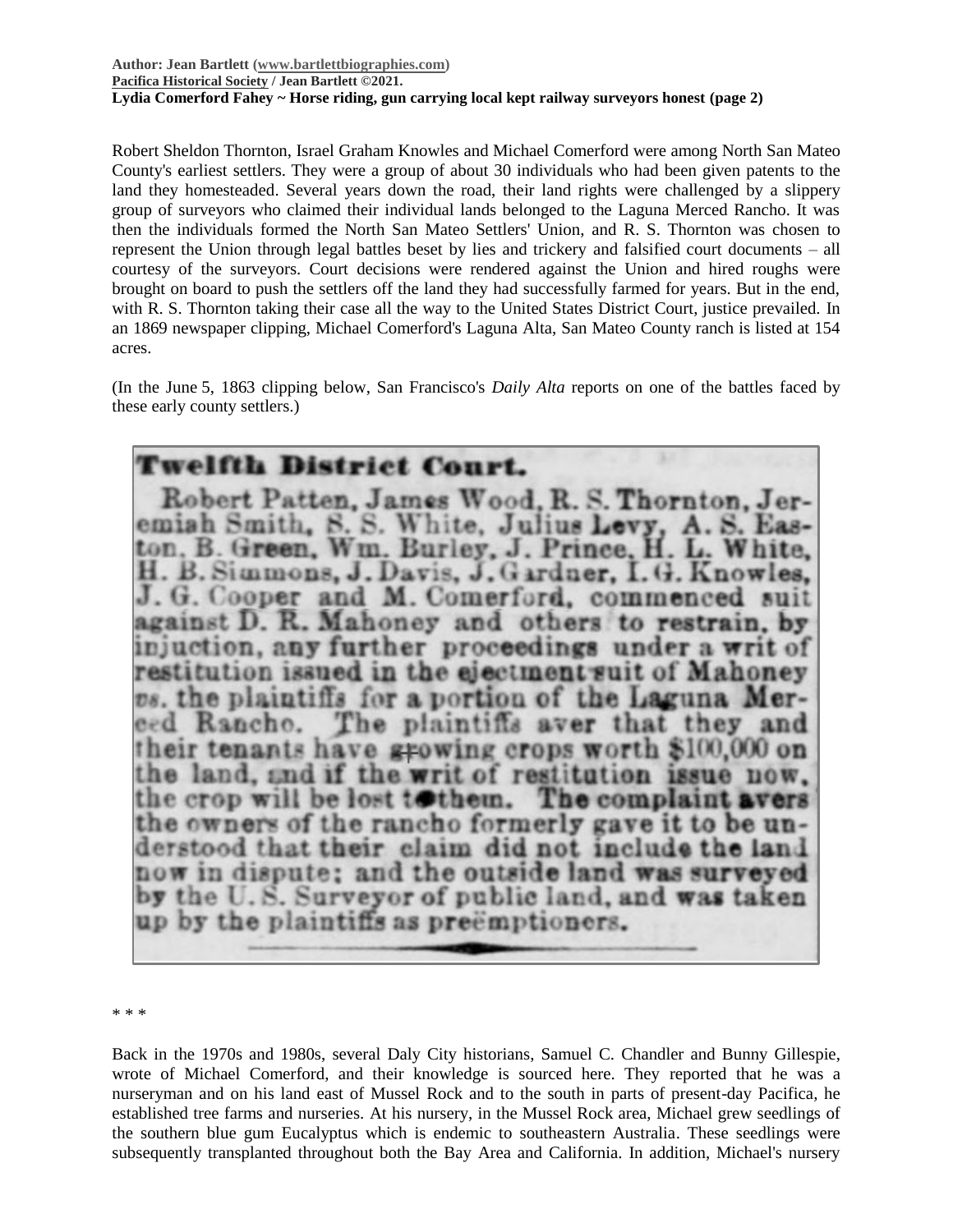### **Author: Jean Bartlett [\(www.bartlettbiographies.com\)](http://www.bartlettbiographies.com/) [Pacifica Historical Society](http://pacificahistory.org/) / Jean Bartlett ©2021. Lydia Comerford Fahey ~ Horse riding, gun carrying local kept railway surveyors honest (page 2)**

Robert Sheldon Thornton, Israel Graham Knowles and Michael Comerford were among North San Mateo County's earliest settlers. They were a group of about 30 individuals who had been given patents to the land they homesteaded. Several years down the road, their land rights were challenged by a slippery group of surveyors who claimed their individual lands belonged to the Laguna Merced Rancho. It was then the individuals formed the North San Mateo Settlers' Union, and R. S. Thornton was chosen to represent the Union through legal battles beset by lies and trickery and falsified court documents – all courtesy of the surveyors. Court decisions were rendered against the Union and hired roughs were brought on board to push the settlers off the land they had successfully farmed for years. But in the end, with R. S. Thornton taking their case all the way to the United States District Court, justice prevailed. In an 1869 newspaper clipping, Michael Comerford's Laguna Alta, San Mateo County ranch is listed at 154 acres.

(In the June 5, 1863 clipping below, San Francisco's *Daily Alta* reports on one of the battles faced by these early county settlers.)

# **Twelfth District Court.**

Robert Patten, James Wood, R. S. Thornton, Jeremiah Smith, S. S. White, Julius Levy, A. S. ton, B. Green, Wm. Burley, J. Prince, H. L. White, H. B. Simmons, J. Davis, J. Gardner, I. G. Knowles, J. G. Cooper and M. Comerford, commenced against D. R. Mahoney and others to restrain, by injuction, any further proceedings under a writ of restitution issued in the ejectment suit of Mahoney vs. the plaintiffs for a portion of the Laguna Mer-The plaintiffs aver that they and eed Ranche. their tenants have growing crops worth \$100,000 on the land, and if the writ of restitution issue now. the crop will be lost to them. The complaint avers the owners of the rancho formerly gave it to be understood that their claim did not include the land now in dispute; and the outside land was surveyed by the U.S. Surveyor of public land, and was taken up by the plaintiffs as preemptioners.

\* \* \*

Back in the 1970s and 1980s, several Daly City historians, Samuel C. Chandler and Bunny Gillespie, wrote of Michael Comerford, and their knowledge is sourced here. They reported that he was a nurseryman and on his land east of Mussel Rock and to the south in parts of present-day Pacifica, he established tree farms and nurseries. At his nursery, in the Mussel Rock area, Michael grew seedlings of the southern blue gum Eucalyptus which is endemic to southeastern Australia. These seedlings were subsequently transplanted throughout both the Bay Area and California. In addition, Michael's nursery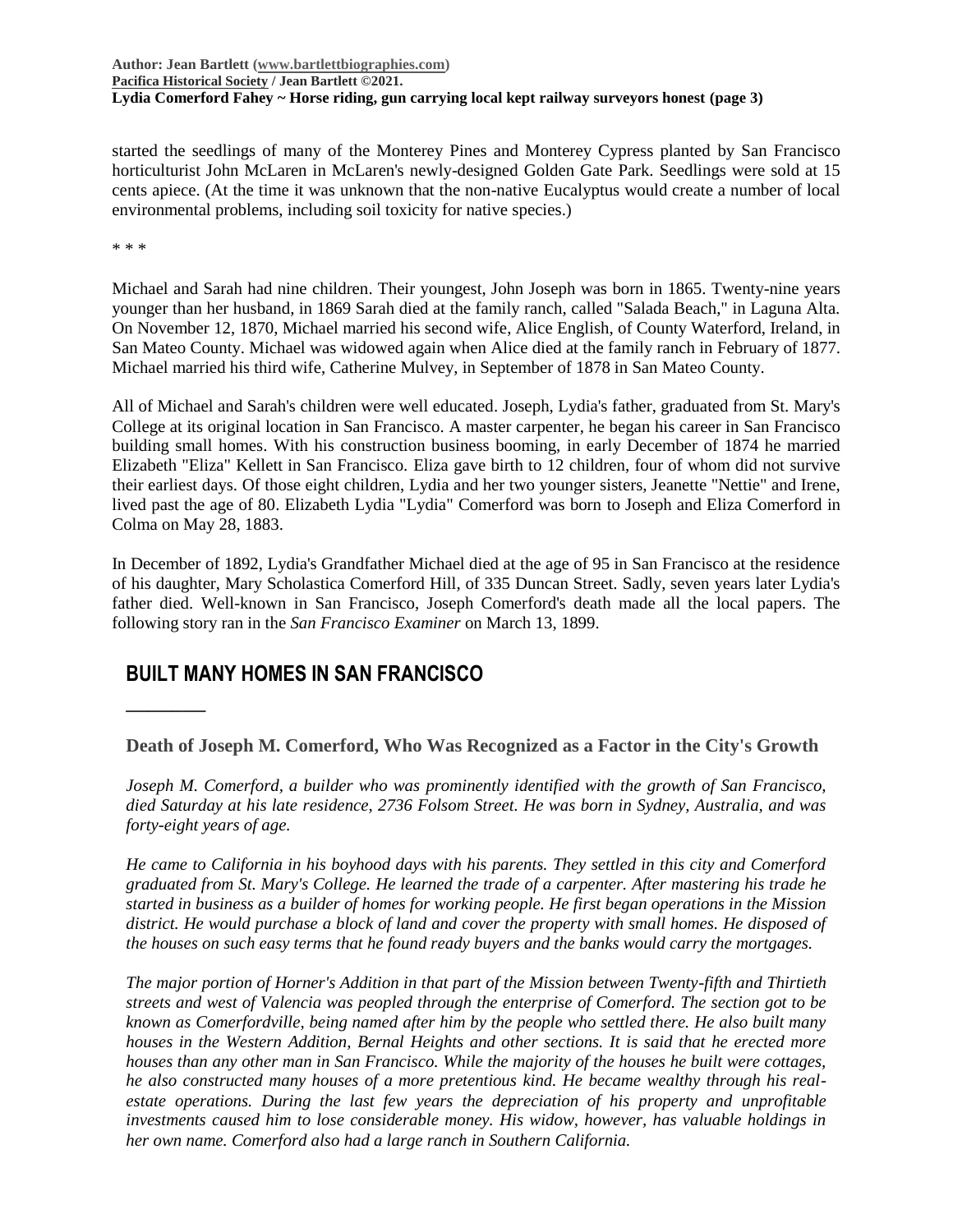**Author: Jean Bartlett [\(www.bartlettbiographies.com\)](http://www.bartlettbiographies.com/) [Pacifica Historical Society](http://pacificahistory.org/) / Jean Bartlett ©2021. Lydia Comerford Fahey ~ Horse riding, gun carrying local kept railway surveyors honest (page 3)**

started the seedlings of many of the Monterey Pines and Monterey Cypress planted by San Francisco horticulturist John McLaren in McLaren's newly-designed Golden Gate Park. Seedlings were sold at 15 cents apiece. (At the time it was unknown that the non-native Eucalyptus would create a number of local environmental problems, including soil toxicity for native species.)

\* \* \*

**\_\_\_\_\_\_\_**

Michael and Sarah had nine children. Their youngest, John Joseph was born in 1865. Twenty-nine years younger than her husband, in 1869 Sarah died at the family ranch, called "Salada Beach," in Laguna Alta. On November 12, 1870, Michael married his second wife, Alice English, of County Waterford, Ireland, in San Mateo County. Michael was widowed again when Alice died at the family ranch in February of 1877. Michael married his third wife, Catherine Mulvey, in September of 1878 in San Mateo County.

All of Michael and Sarah's children were well educated. Joseph, Lydia's father, graduated from St. Mary's College at its original location in San Francisco. A master carpenter, he began his career in San Francisco building small homes. With his construction business booming, in early December of 1874 he married Elizabeth "Eliza" Kellett in San Francisco. Eliza gave birth to 12 children, four of whom did not survive their earliest days. Of those eight children, Lydia and her two younger sisters, Jeanette "Nettie" and Irene, lived past the age of 80. Elizabeth Lydia "Lydia" Comerford was born to Joseph and Eliza Comerford in Colma on May 28, 1883.

In December of 1892, Lydia's Grandfather Michael died at the age of 95 in San Francisco at the residence of his daughter, Mary Scholastica Comerford Hill, of 335 Duncan Street. Sadly, seven years later Lydia's father died. Well-known in San Francisco, Joseph Comerford's death made all the local papers. The following story ran in the *San Francisco Examiner* on March 13, 1899.

# **BUILT MANY HOMES IN SAN FRANCISCO**

**Death of Joseph M. Comerford, Who Was Recognized as a Factor in the City's Growth**

*Joseph M. Comerford, a builder who was prominently identified with the growth of San Francisco, died Saturday at his late residence, 2736 Folsom Street. He was born in Sydney, Australia, and was forty-eight years of age.*

*He came to California in his boyhood days with his parents. They settled in this city and Comerford graduated from St. Mary's College. He learned the trade of a carpenter. After mastering his trade he started in business as a builder of homes for working people. He first began operations in the Mission district. He would purchase a block of land and cover the property with small homes. He disposed of the houses on such easy terms that he found ready buyers and the banks would carry the mortgages.*

*The major portion of Horner's Addition in that part of the Mission between Twenty-fifth and Thirtieth streets and west of Valencia was peopled through the enterprise of Comerford. The section got to be known as Comerfordville, being named after him by the people who settled there. He also built many houses in the Western Addition, Bernal Heights and other sections. It is said that he erected more houses than any other man in San Francisco. While the majority of the houses he built were cottages, he also constructed many houses of a more pretentious kind. He became wealthy through his realestate operations. During the last few years the depreciation of his property and unprofitable investments caused him to lose considerable money. His widow, however, has valuable holdings in her own name. Comerford also had a large ranch in Southern California.*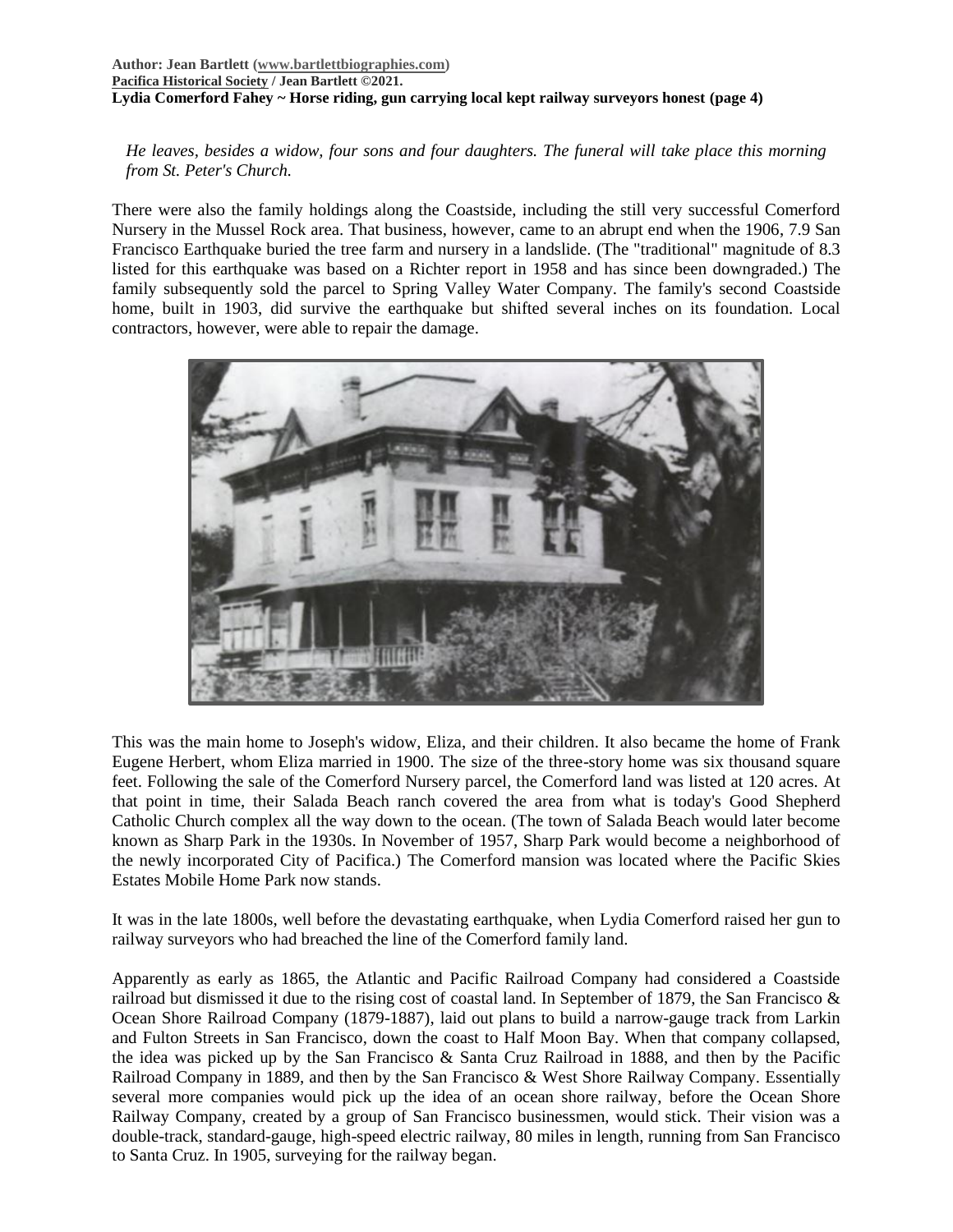#### **Author: Jean Bartlett [\(www.bartlettbiographies.com\)](http://www.bartlettbiographies.com/) [Pacifica Historical Society](http://pacificahistory.org/) / Jean Bartlett ©2021. Lydia Comerford Fahey ~ Horse riding, gun carrying local kept railway surveyors honest (page 4)**

*He leaves, besides a widow, four sons and four daughters. The funeral will take place this morning from St. Peter's Church.*

There were also the family holdings along the Coastside, including the still very successful Comerford Nursery in the Mussel Rock area. That business, however, came to an abrupt end when the 1906, 7.9 San Francisco Earthquake buried the tree farm and nursery in a landslide. (The "traditional" magnitude of 8.3 listed for this earthquake was based on a Richter report in 1958 and has since been downgraded.) The family subsequently sold the parcel to Spring Valley Water Company. The family's second Coastside home, built in 1903, did survive the earthquake but shifted several inches on its foundation. Local contractors, however, were able to repair the damage.



This was the main home to Joseph's widow, Eliza, and their children. It also became the home of Frank Eugene Herbert, whom Eliza married in 1900. The size of the three-story home was six thousand square feet. Following the sale of the Comerford Nursery parcel, the Comerford land was listed at 120 acres. At that point in time, their Salada Beach ranch covered the area from what is today's Good Shepherd Catholic Church complex all the way down to the ocean. (The town of Salada Beach would later become known as Sharp Park in the 1930s. In November of 1957, Sharp Park would become a neighborhood of the newly incorporated City of Pacifica.) The Comerford mansion was located where the Pacific Skies Estates Mobile Home Park now stands.

It was in the late 1800s, well before the devastating earthquake, when Lydia Comerford raised her gun to railway surveyors who had breached the line of the Comerford family land.

Apparently as early as 1865, the Atlantic and Pacific Railroad Company had considered a Coastside railroad but dismissed it due to the rising cost of coastal land. In September of 1879, the San Francisco & Ocean Shore Railroad Company (1879-1887), laid out plans to build a narrow-gauge track from Larkin and Fulton Streets in San Francisco, down the coast to Half Moon Bay. When that company collapsed, the idea was picked up by the San Francisco & Santa Cruz Railroad in 1888, and then by the Pacific Railroad Company in 1889, and then by the San Francisco & West Shore Railway Company. Essentially several more companies would pick up the idea of an ocean shore railway, before the Ocean Shore Railway Company, created by a group of San Francisco businessmen, would stick. Their vision was a double-track, standard-gauge, high-speed electric railway, 80 miles in length, running from San Francisco to Santa Cruz. In 1905, surveying for the railway began.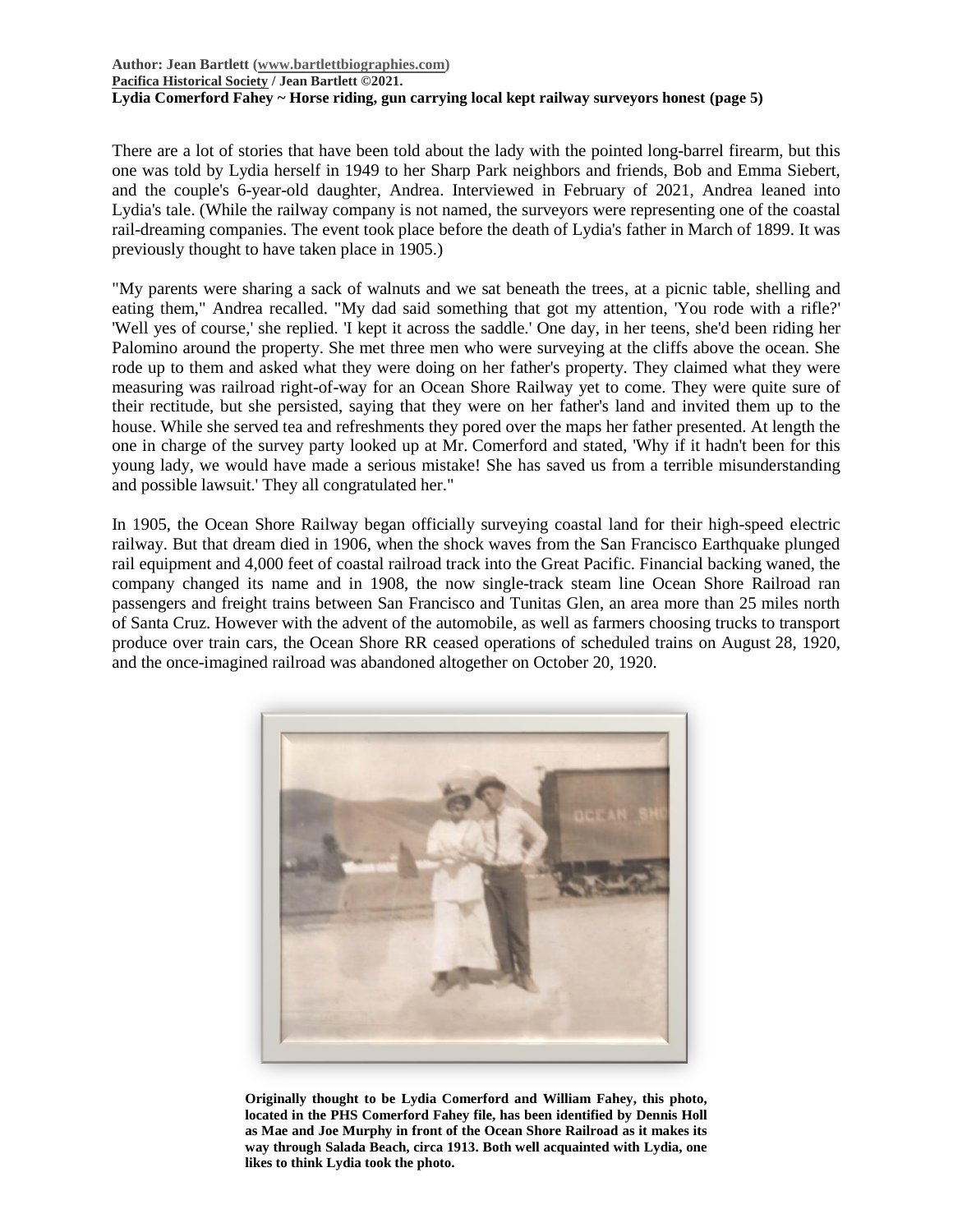#### **Author: Jean Bartlett [\(www.bartlettbiographies.com\)](http://www.bartlettbiographies.com/) [Pacifica Historical Society](http://pacificahistory.org/) / Jean Bartlett ©2021. Lydia Comerford Fahey ~ Horse riding, gun carrying local kept railway surveyors honest (page 5)**

There are a lot of stories that have been told about the lady with the pointed long-barrel firearm, but this one was told by Lydia herself in 1949 to her Sharp Park neighbors and friends, Bob and Emma Siebert, and the couple's 6-year-old daughter, Andrea. Interviewed in February of 2021, Andrea leaned into Lydia's tale. (While the railway company is not named, the surveyors were representing one of the coastal rail-dreaming companies. The event took place before the death of Lydia's father in March of 1899. It was previously thought to have taken place in 1905.)

"My parents were sharing a sack of walnuts and we sat beneath the trees, at a picnic table, shelling and eating them," Andrea recalled. "My dad said something that got my attention, 'You rode with a rifle?' 'Well yes of course,' she replied. 'I kept it across the saddle.' One day, in her teens, she'd been riding her Palomino around the property. She met three men who were surveying at the cliffs above the ocean. She rode up to them and asked what they were doing on her father's property. They claimed what they were measuring was railroad right-of-way for an Ocean Shore Railway yet to come. They were quite sure of their rectitude, but she persisted, saying that they were on her father's land and invited them up to the house. While she served tea and refreshments they pored over the maps her father presented. At length the one in charge of the survey party looked up at Mr. Comerford and stated, 'Why if it hadn't been for this young lady, we would have made a serious mistake! She has saved us from a terrible misunderstanding and possible lawsuit.' They all congratulated her."

In 1905, the Ocean Shore Railway began officially surveying coastal land for their high-speed electric railway. But that dream died in 1906, when the shock waves from the San Francisco Earthquake plunged rail equipment and 4,000 feet of coastal railroad track into the Great Pacific. Financial backing waned, the company changed its name and in 1908, the now single-track steam line Ocean Shore Railroad ran passengers and freight trains between San Francisco and Tunitas Glen, an area more than 25 miles north of Santa Cruz. However with the advent of the automobile, as well as farmers choosing trucks to transport produce over train cars, the Ocean Shore RR ceased operations of scheduled trains on August 28, 1920, and the once-imagined railroad was abandoned altogether on October 20, 1920.



**Originally thought to be Lydia Comerford and William Fahey, this photo, located in the PHS Comerford Fahey file, has been identified by Dennis Holl as Mae and Joe Murphy in front of the Ocean Shore Railroad as it makes its way through Salada Beach, circa 1913. Both well acquainted with Lydia, one likes to think Lydia took the photo.**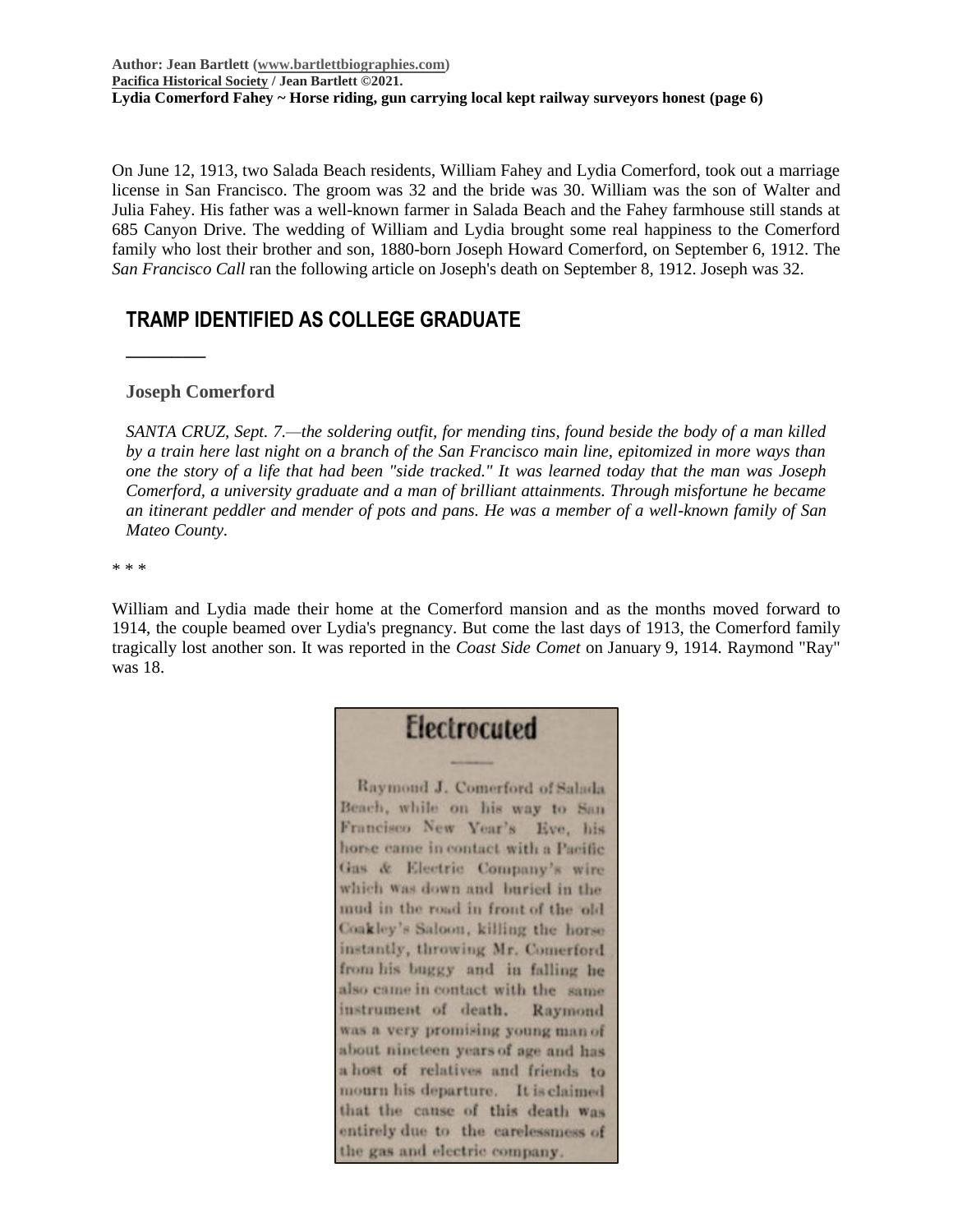On June 12, 1913, two Salada Beach residents, William Fahey and Lydia Comerford, took out a marriage license in San Francisco. The groom was 32 and the bride was 30. William was the son of Walter and Julia Fahey. His father was a well-known farmer in Salada Beach and the Fahey farmhouse still stands at 685 Canyon Drive. The wedding of William and Lydia brought some real happiness to the Comerford family who lost their brother and son, 1880-born Joseph Howard Comerford, on September 6, 1912. The *San Francisco Call* ran the following article on Joseph's death on September 8, 1912. Joseph was 32.

# **TRAMP IDENTIFIED AS COLLEGE GRADUATE**

### **Joseph Comerford**

**\_\_\_\_\_\_\_**

*SANTA CRUZ, Sept. 7.—the soldering outfit, for mending tins, found beside the body of a man killed by a train here last night on a branch of the San Francisco main line, epitomized in more ways than one the story of a life that had been "side tracked." It was learned today that the man was Joseph Comerford, a university graduate and a man of brilliant attainments. Through misfortune he became an itinerant peddler and mender of pots and pans. He was a member of a well-known family of San Mateo County.*

\* \* \*

William and Lydia made their home at the Comerford mansion and as the months moved forward to 1914, the couple beamed over Lydia's pregnancy. But come the last days of 1913, the Comerford family tragically lost another son. It was reported in the *Coast Side Comet* on January 9, 1914. Raymond "Ray" was 18.

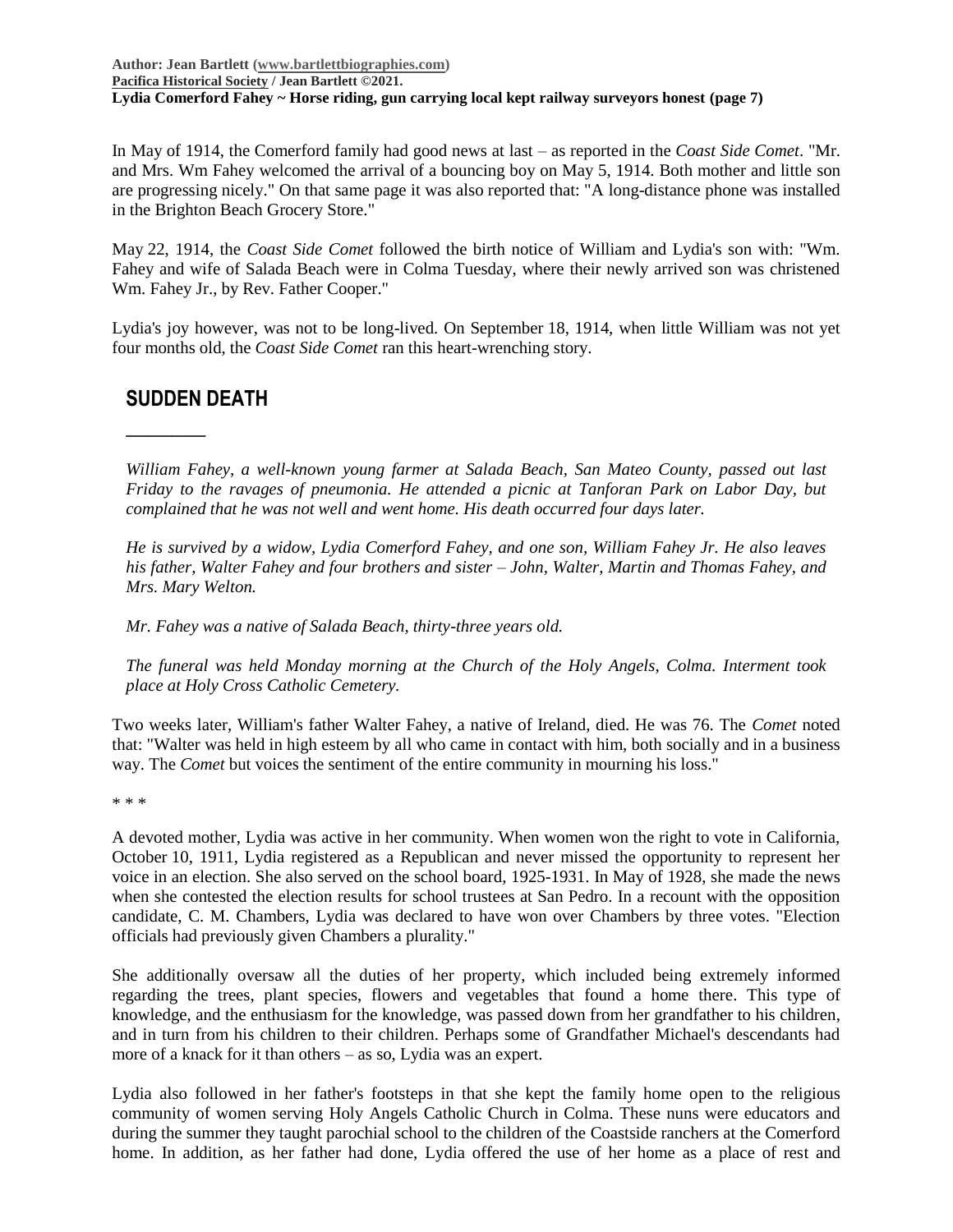**Author: Jean Bartlett [\(www.bartlettbiographies.com\)](http://www.bartlettbiographies.com/) [Pacifica Historical Society](http://pacificahistory.org/) / Jean Bartlett ©2021. Lydia Comerford Fahey ~ Horse riding, gun carrying local kept railway surveyors honest (page 7)**

In May of 1914, the Comerford family had good news at last – as reported in the *Coast Side Comet*. "Mr. and Mrs. Wm Fahey welcomed the arrival of a bouncing boy on May 5, 1914. Both mother and little son are progressing nicely." On that same page it was also reported that: "A long-distance phone was installed in the Brighton Beach Grocery Store."

May 22, 1914, the *Coast Side Comet* followed the birth notice of William and Lydia's son with: "Wm. Fahey and wife of Salada Beach were in Colma Tuesday, where their newly arrived son was christened Wm. Fahey Jr., by Rev. Father Cooper."

Lydia's joy however, was not to be long-lived. On September 18, 1914, when little William was not yet four months old, the *Coast Side Comet* ran this heart-wrenching story.

## **SUDDEN DEATH**

**\_\_\_\_\_\_\_**

*William Fahey, a well-known young farmer at Salada Beach, San Mateo County, passed out last Friday to the ravages of pneumonia. He attended a picnic at Tanforan Park on Labor Day, but complained that he was not well and went home. His death occurred four days later.* 

*He is survived by a widow, Lydia Comerford Fahey, and one son, William Fahey Jr. He also leaves his father, Walter Fahey and four brothers and sister – John, Walter, Martin and Thomas Fahey, and Mrs. Mary Welton.*

*Mr. Fahey was a native of Salada Beach, thirty-three years old.*

*The funeral was held Monday morning at the Church of the Holy Angels, Colma. Interment took place at Holy Cross Catholic Cemetery.*

Two weeks later, William's father Walter Fahey, a native of Ireland, died. He was 76. The *Comet* noted that: "Walter was held in high esteem by all who came in contact with him, both socially and in a business way. The *Comet* but voices the sentiment of the entire community in mourning his loss."

\* \* \*

A devoted mother, Lydia was active in her community. When women won the right to vote in California, October 10, 1911, Lydia registered as a Republican and never missed the opportunity to represent her voice in an election. She also served on the school board, 1925-1931. In May of 1928, she made the news when she contested the election results for school trustees at San Pedro. In a recount with the opposition candidate, C. M. Chambers, Lydia was declared to have won over Chambers by three votes. "Election officials had previously given Chambers a plurality."

She additionally oversaw all the duties of her property, which included being extremely informed regarding the trees, plant species, flowers and vegetables that found a home there. This type of knowledge, and the enthusiasm for the knowledge, was passed down from her grandfather to his children, and in turn from his children to their children. Perhaps some of Grandfather Michael's descendants had more of a knack for it than others – as so, Lydia was an expert.

Lydia also followed in her father's footsteps in that she kept the family home open to the religious community of women serving Holy Angels Catholic Church in Colma. These nuns were educators and during the summer they taught parochial school to the children of the Coastside ranchers at the Comerford home. In addition, as her father had done, Lydia offered the use of her home as a place of rest and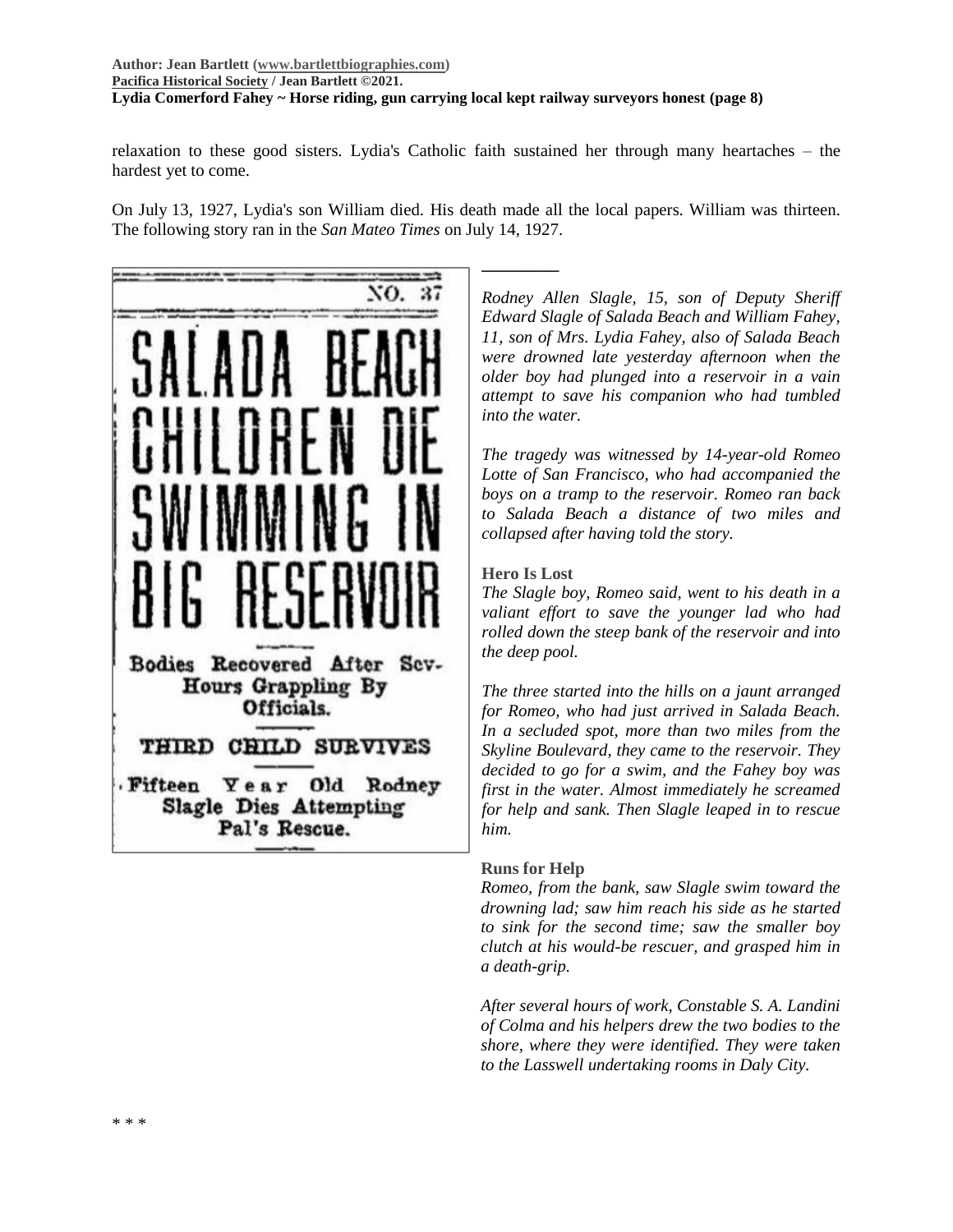### **Author: Jean Bartlett [\(www.bartlettbiographies.com\)](http://www.bartlettbiographies.com/) [Pacifica Historical Society](http://pacificahistory.org/) / Jean Bartlett ©2021. Lydia Comerford Fahey ~ Horse riding, gun carrying local kept railway surveyors honest (page 8)**

relaxation to these good sisters. Lydia's Catholic faith sustained her through many heartaches – the hardest yet to come.

On July 13, 1927, Lydia's son William died. His death made all the local papers. William was thirteen. The following story ran in the *San Mateo Times* on July 14, 1927.

**\_\_\_\_\_\_\_\_\_**

NO. 37 Bodies Recovered After Sev-Hours Grappling By Officials. THIRD CHILD SURVIVES Fifteen Year Old Rodney Slagle Dies Attempting Pal's Rescue.

*Rodney Allen Slagle, 15, son of Deputy Sheriff Edward Slagle of Salada Beach and William Fahey, 11, son of Mrs. Lydia Fahey, also of Salada Beach were drowned late yesterday afternoon when the older boy had plunged into a reservoir in a vain attempt to save his companion who had tumbled into the water.*

*The tragedy was witnessed by 14-year-old Romeo Lotte of San Francisco, who had accompanied the boys on a tramp to the reservoir. Romeo ran back to Salada Beach a distance of two miles and collapsed after having told the story.*

### **Hero Is Lost**

*The Slagle boy, Romeo said, went to his death in a valiant effort to save the younger lad who had rolled down the steep bank of the reservoir and into the deep pool.*

*The three started into the hills on a jaunt arranged for Romeo, who had just arrived in Salada Beach. In a secluded spot, more than two miles from the Skyline Boulevard, they came to the reservoir. They decided to go for a swim, and the Fahey boy was first in the water. Almost immediately he screamed for help and sank. Then Slagle leaped in to rescue him.*

### **Runs for Help**

*Romeo, from the bank, saw Slagle swim toward the drowning lad; saw him reach his side as he started to sink for the second time; saw the smaller boy clutch at his would-be rescuer, and grasped him in a death-grip.*

*After several hours of work, Constable S. A. Landini of Colma and his helpers drew the two bodies to the shore, where they were identified. They were taken to the Lasswell undertaking rooms in Daly City.*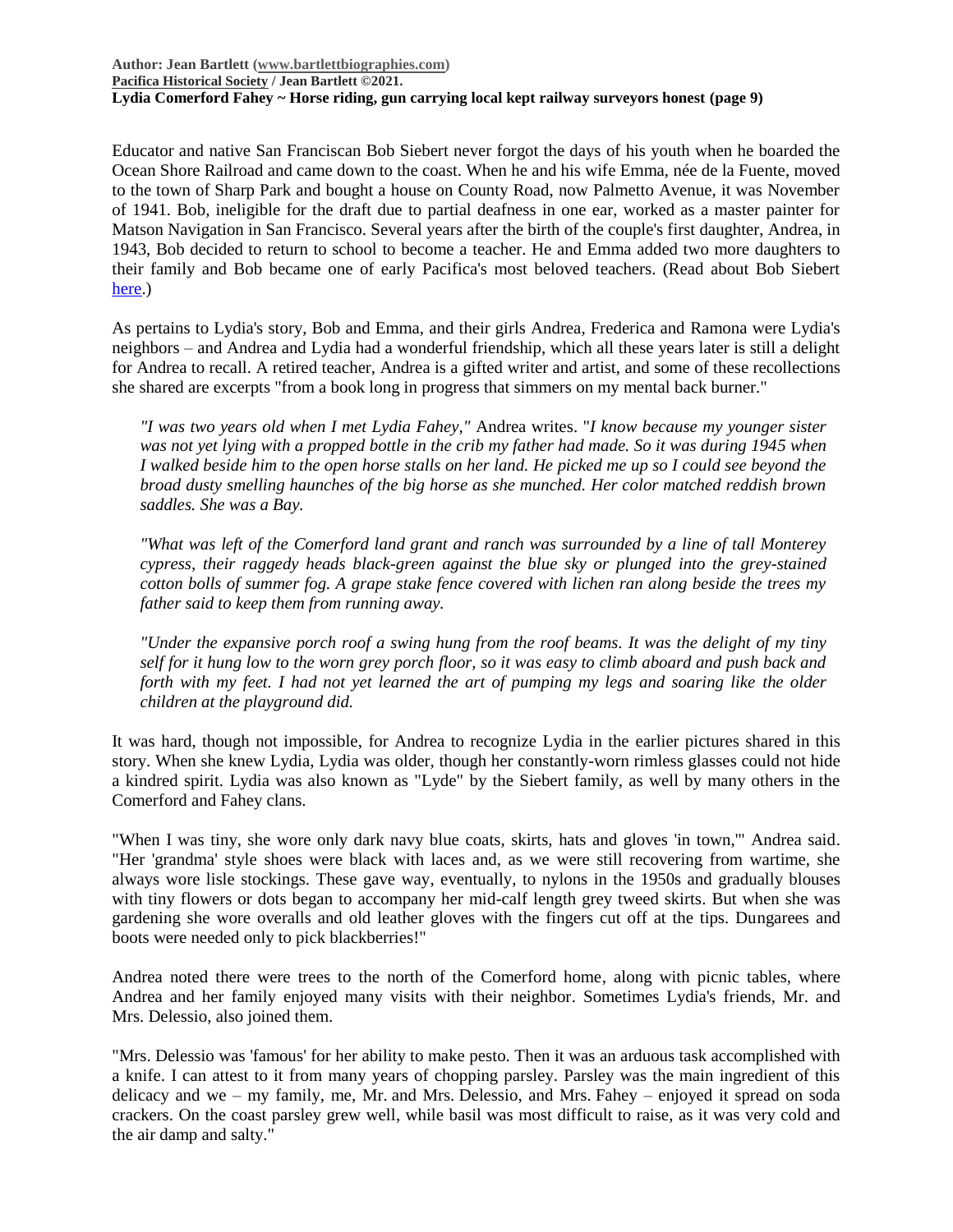**Author: Jean Bartlett [\(www.bartlettbiographies.com\)](http://www.bartlettbiographies.com/) [Pacifica Historical Society](http://pacificahistory.org/) / Jean Bartlett ©2021. Lydia Comerford Fahey ~ Horse riding, gun carrying local kept railway surveyors honest (page 9)**

Educator and native San Franciscan Bob Siebert never forgot the days of his youth when he boarded the Ocean Shore Railroad and came down to the coast. When he and his wife Emma, née de la Fuente, moved to the town of Sharp Park and bought a house on County Road, now Palmetto Avenue, it was November of 1941. Bob, ineligible for the draft due to partial deafness in one ear, worked as a master painter for Matson Navigation in San Francisco. Several years after the birth of the couple's first daughter, Andrea, in 1943, Bob decided to return to school to become a teacher. He and Emma added two more daughters to their family and Bob became one of early Pacifica's most beloved teachers. (Read about Bob Siebert [here.](https://46d14119-b42d-469c-887f-083db2a10fe7.filesusr.com/ugd/5ea9c3_0ae68978ee894d229ea1988bfeb2724d.pdf))

As pertains to Lydia's story, Bob and Emma, and their girls Andrea, Frederica and Ramona were Lydia's neighbors – and Andrea and Lydia had a wonderful friendship, which all these years later is still a delight for Andrea to recall. A retired teacher, Andrea is a gifted writer and artist, and some of these recollections she shared are excerpts "from a book long in progress that simmers on my mental back burner."

*"I was two years old when I met Lydia Fahey,"* Andrea writes. "*I know because my younger sister was not yet lying with a propped bottle in the crib my father had made. So it was during 1945 when I walked beside him to the open horse stalls on her land. He picked me up so I could see beyond the broad dusty smelling haunches of the big horse as she munched. Her color matched reddish brown saddles. She was a Bay.*

*"What was left of the Comerford land grant and ranch was surrounded by a line of tall Monterey cypress, their raggedy heads black-green against the blue sky or plunged into the grey-stained cotton bolls of summer fog. A grape stake fence covered with lichen ran along beside the trees my father said to keep them from running away.*

*"Under the expansive porch roof a swing hung from the roof beams. It was the delight of my tiny self for it hung low to the worn grey porch floor, so it was easy to climb aboard and push back and forth with my feet. I had not yet learned the art of pumping my legs and soaring like the older children at the playground did.*

It was hard, though not impossible, for Andrea to recognize Lydia in the earlier pictures shared in this story. When she knew Lydia, Lydia was older, though her constantly-worn rimless glasses could not hide a kindred spirit. Lydia was also known as "Lyde" by the Siebert family, as well by many others in the Comerford and Fahey clans.

"When I was tiny, she wore only dark navy blue coats, skirts, hats and gloves 'in town,'" Andrea said. "Her 'grandma' style shoes were black with laces and, as we were still recovering from wartime, she always wore lisle stockings. These gave way, eventually, to nylons in the 1950s and gradually blouses with tiny flowers or dots began to accompany her mid-calf length grey tweed skirts. But when she was gardening she wore overalls and old leather gloves with the fingers cut off at the tips. Dungarees and boots were needed only to pick blackberries!"

Andrea noted there were trees to the north of the Comerford home, along with picnic tables, where Andrea and her family enjoyed many visits with their neighbor. Sometimes Lydia's friends, Mr. and Mrs. Delessio, also joined them.

"Mrs. Delessio was 'famous' for her ability to make pesto. Then it was an arduous task accomplished with a knife. I can attest to it from many years of chopping parsley. Parsley was the main ingredient of this delicacy and we – my family, me, Mr. and Mrs. Delessio, and Mrs. Fahey – enjoyed it spread on soda crackers. On the coast parsley grew well, while basil was most difficult to raise, as it was very cold and the air damp and salty."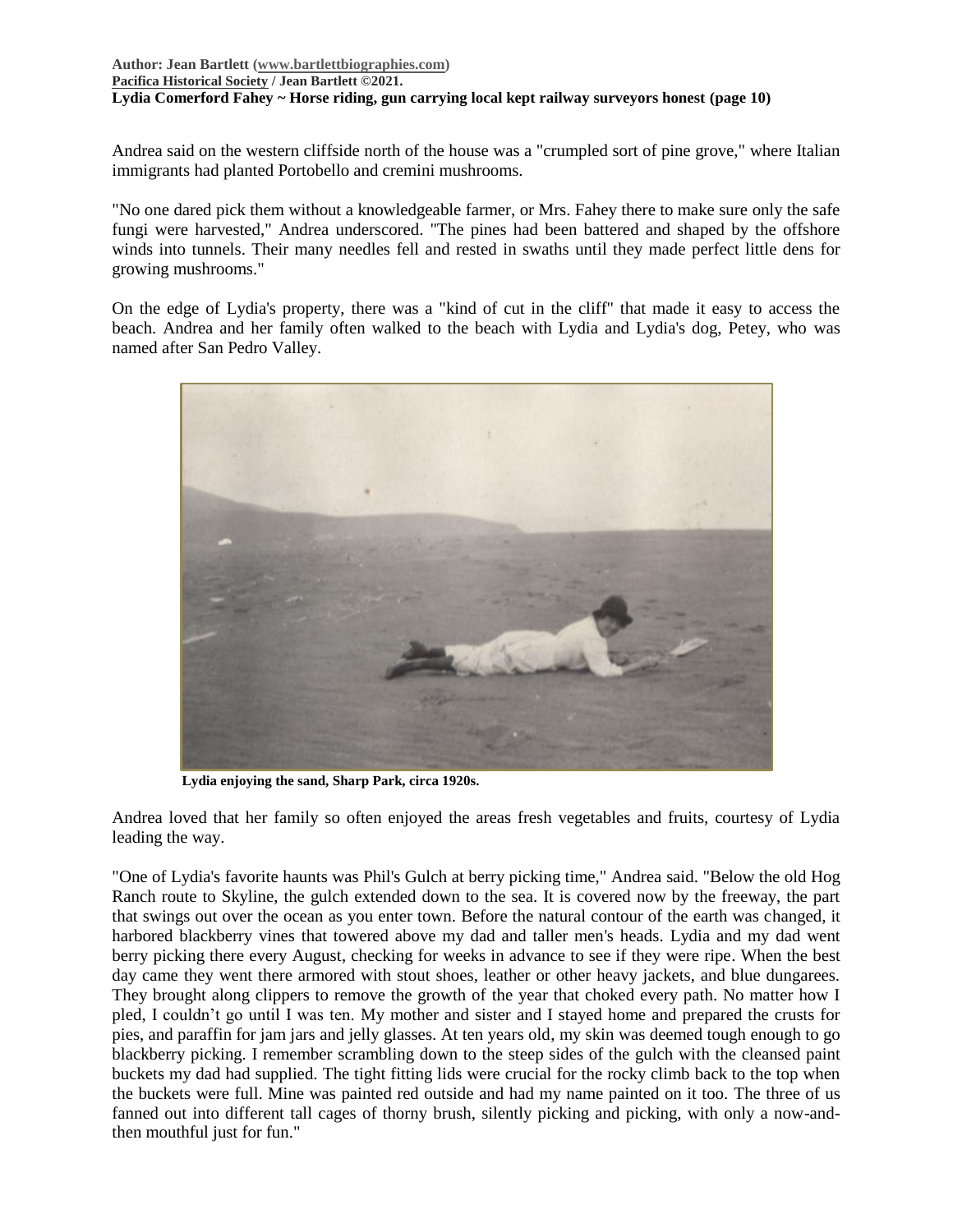### **Author: Jean Bartlett [\(www.bartlettbiographies.com\)](http://www.bartlettbiographies.com/) [Pacifica Historical Society](http://pacificahistory.org/) / Jean Bartlett ©2021. Lydia Comerford Fahey ~ Horse riding, gun carrying local kept railway surveyors honest (page 10)**

Andrea said on the western cliffside north of the house was a "crumpled sort of pine grove," where Italian immigrants had planted Portobello and cremini mushrooms.

"No one dared pick them without a knowledgeable farmer, or Mrs. Fahey there to make sure only the safe fungi were harvested," Andrea underscored. "The pines had been battered and shaped by the offshore winds into tunnels. Their many needles fell and rested in swaths until they made perfect little dens for growing mushrooms."

On the edge of Lydia's property, there was a "kind of cut in the cliff" that made it easy to access the beach. Andrea and her family often walked to the beach with Lydia and Lydia's dog, Petey, who was named after San Pedro Valley.



**Lydia enjoying the sand, Sharp Park, circa 1920s.**

Andrea loved that her family so often enjoyed the areas fresh vegetables and fruits, courtesy of Lydia leading the way.

"One of Lydia's favorite haunts was Phil's Gulch at berry picking time," Andrea said. "Below the old Hog Ranch route to Skyline, the gulch extended down to the sea. It is covered now by the freeway, the part that swings out over the ocean as you enter town. Before the natural contour of the earth was changed, it harbored blackberry vines that towered above my dad and taller men's heads. Lydia and my dad went berry picking there every August, checking for weeks in advance to see if they were ripe. When the best day came they went there armored with stout shoes, leather or other heavy jackets, and blue dungarees. They brought along clippers to remove the growth of the year that choked every path. No matter how I pled, I couldn't go until I was ten. My mother and sister and I stayed home and prepared the crusts for pies, and paraffin for jam jars and jelly glasses. At ten years old, my skin was deemed tough enough to go blackberry picking. I remember scrambling down to the steep sides of the gulch with the cleansed paint buckets my dad had supplied. The tight fitting lids were crucial for the rocky climb back to the top when the buckets were full. Mine was painted red outside and had my name painted on it too. The three of us fanned out into different tall cages of thorny brush, silently picking and picking, with only a now-andthen mouthful just for fun."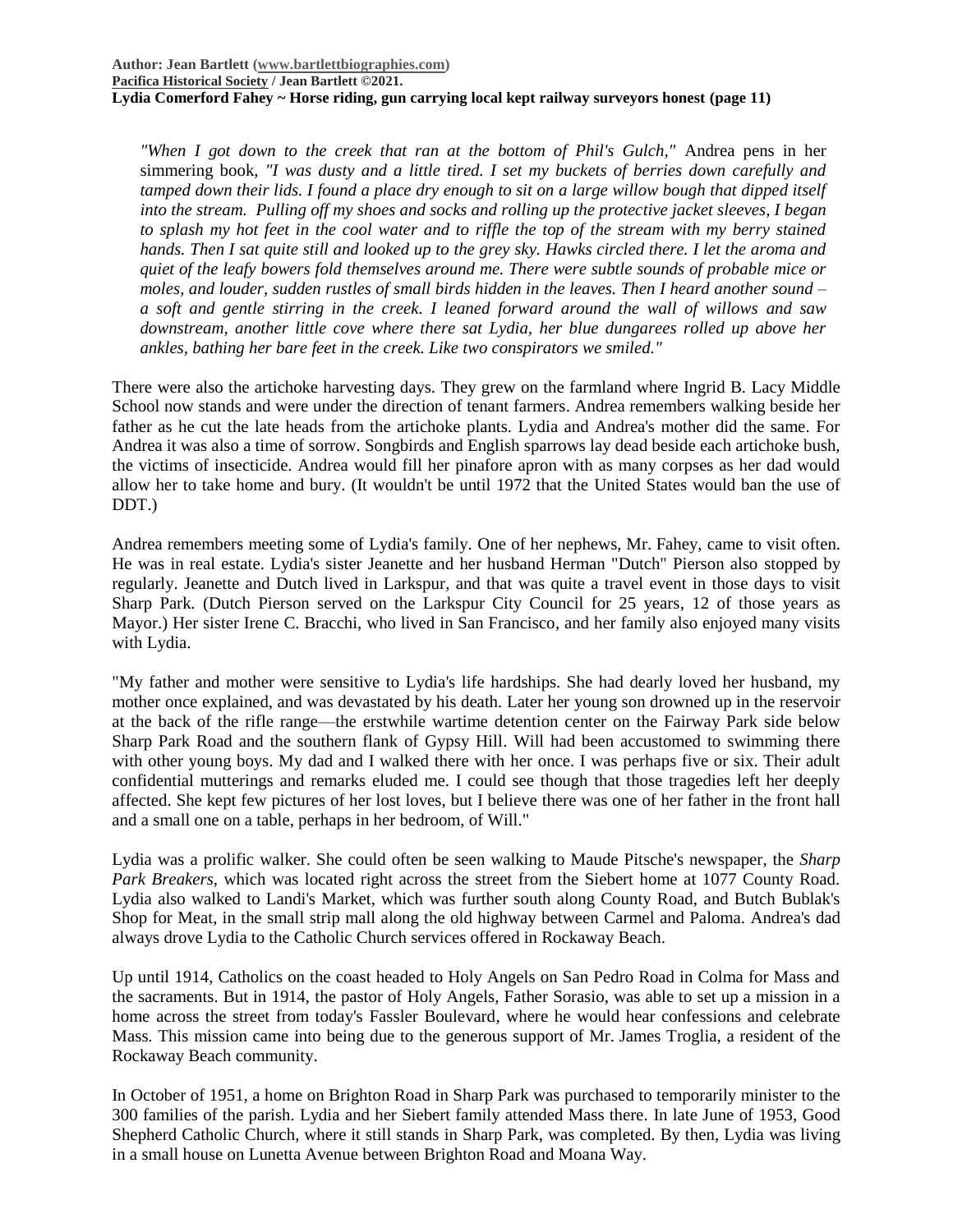*"When I got down to the creek that ran at the bottom of Phil's Gulch,"* Andrea pens in her simmering book, *"I was dusty and a little tired. I set my buckets of berries down carefully and tamped down their lids. I found a place dry enough to sit on a large willow bough that dipped itself into the stream. Pulling off my shoes and socks and rolling up the protective jacket sleeves, I began to splash my hot feet in the cool water and to riffle the top of the stream with my berry stained hands. Then I sat quite still and looked up to the grey sky. Hawks circled there. I let the aroma and quiet of the leafy bowers fold themselves around me. There were subtle sounds of probable mice or moles, and louder, sudden rustles of small birds hidden in the leaves. Then I heard another sound – a soft and gentle stirring in the creek. I leaned forward around the wall of willows and saw downstream, another little cove where there sat Lydia, her blue dungarees rolled up above her ankles, bathing her bare feet in the creek. Like two conspirators we smiled."*

There were also the artichoke harvesting days. They grew on the farmland where Ingrid B. Lacy Middle School now stands and were under the direction of tenant farmers. Andrea remembers walking beside her father as he cut the late heads from the artichoke plants. Lydia and Andrea's mother did the same. For Andrea it was also a time of sorrow. Songbirds and English sparrows lay dead beside each artichoke bush, the victims of insecticide. Andrea would fill her pinafore apron with as many corpses as her dad would allow her to take home and bury. (It wouldn't be until 1972 that the United States would ban the use of DDT.)

Andrea remembers meeting some of Lydia's family. One of her nephews, Mr. Fahey, came to visit often. He was in real estate. Lydia's sister Jeanette and her husband Herman "Dutch" Pierson also stopped by regularly. Jeanette and Dutch lived in Larkspur, and that was quite a travel event in those days to visit Sharp Park. (Dutch Pierson served on the Larkspur City Council for 25 years, 12 of those years as Mayor.) Her sister Irene C. Bracchi, who lived in San Francisco, and her family also enjoyed many visits with Lydia.

"My father and mother were sensitive to Lydia's life hardships. She had dearly loved her husband, my mother once explained, and was devastated by his death. Later her young son drowned up in the reservoir at the back of the rifle range—the erstwhile wartime detention center on the Fairway Park side below Sharp Park Road and the southern flank of Gypsy Hill. Will had been accustomed to swimming there with other young boys. My dad and I walked there with her once. I was perhaps five or six. Their adult confidential mutterings and remarks eluded me. I could see though that those tragedies left her deeply affected. She kept few pictures of her lost loves, but I believe there was one of her father in the front hall and a small one on a table, perhaps in her bedroom, of Will."

Lydia was a prolific walker. She could often be seen walking to Maude Pitsche's newspaper, the *Sharp Park Breakers*, which was located right across the street from the Siebert home at 1077 County Road. Lydia also walked to Landi's Market, which was further south along County Road, and Butch Bublak's Shop for Meat, in the small strip mall along the old highway between Carmel and Paloma. Andrea's dad always drove Lydia to the Catholic Church services offered in Rockaway Beach.

Up until 1914, Catholics on the coast headed to Holy Angels on San Pedro Road in Colma for Mass and the sacraments. But in 1914, the pastor of Holy Angels, Father Sorasio, was able to set up a mission in a home across the street from today's Fassler Boulevard, where he would hear confessions and celebrate Mass. This mission came into being due to the generous support of Mr. James Troglia, a resident of the Rockaway Beach community.

In October of 1951, a home on Brighton Road in Sharp Park was purchased to temporarily minister to the 300 families of the parish. Lydia and her Siebert family attended Mass there. In late June of 1953, Good Shepherd Catholic Church, where it still stands in Sharp Park, was completed. By then, Lydia was living in a small house on Lunetta Avenue between Brighton Road and Moana Way.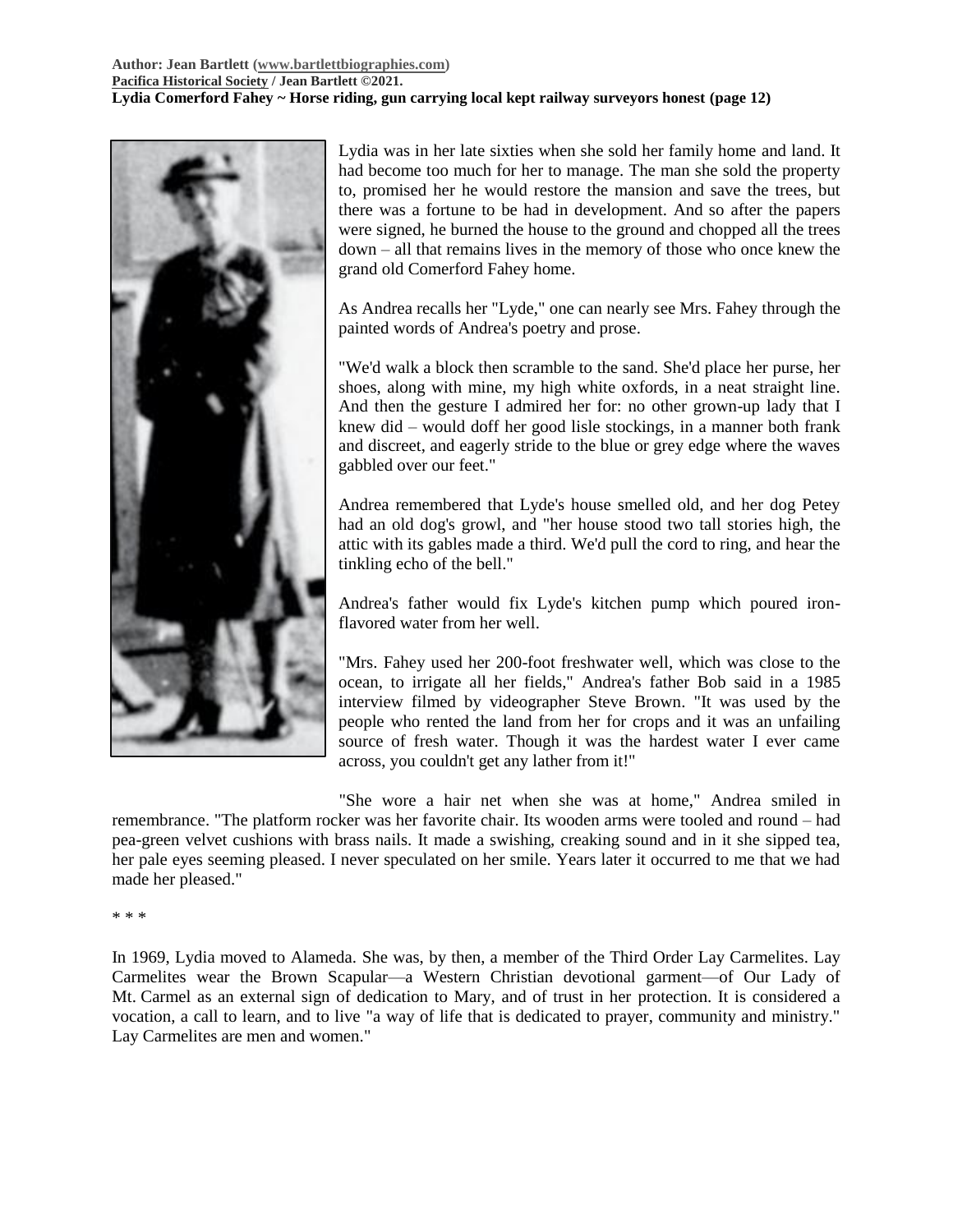### **Author: Jean Bartlett [\(www.bartlettbiographies.com\)](http://www.bartlettbiographies.com/) [Pacifica Historical Society](http://pacificahistory.org/) / Jean Bartlett ©2021. Lydia Comerford Fahey ~ Horse riding, gun carrying local kept railway surveyors honest (page 12)**



Lydia was in her late sixties when she sold her family home and land. It had become too much for her to manage. The man she sold the property to, promised her he would restore the mansion and save the trees, but there was a fortune to be had in development. And so after the papers were signed, he burned the house to the ground and chopped all the trees down – all that remains lives in the memory of those who once knew the grand old Comerford Fahey home.

As Andrea recalls her "Lyde," one can nearly see Mrs. Fahey through the painted words of Andrea's poetry and prose.

"We'd walk a block then scramble to the sand. She'd place her purse, her shoes, along with mine, my high white oxfords, in a neat straight line. And then the gesture I admired her for: no other grown-up lady that I knew did – would doff her good lisle stockings, in a manner both frank and discreet, and eagerly stride to the blue or grey edge where the waves gabbled over our feet."

Andrea remembered that Lyde's house smelled old, and her dog Petey had an old dog's growl, and "her house stood two tall stories high, the attic with its gables made a third. We'd pull the cord to ring, and hear the tinkling echo of the bell."

Andrea's father would fix Lyde's kitchen pump which poured ironflavored water from her well.

"Mrs. Fahey used her 200-foot freshwater well, which was close to the ocean, to irrigate all her fields," Andrea's father Bob said in a 1985 interview filmed by videographer Steve Brown. "It was used by the people who rented the land from her for crops and it was an unfailing source of fresh water. Though it was the hardest water I ever came across, you couldn't get any lather from it!"

"She wore a hair net when she was at home," Andrea smiled in remembrance. "The platform rocker was her favorite chair. Its wooden arms were tooled and round – had pea-green velvet cushions with brass nails. It made a swishing, creaking sound and in it she sipped tea, her pale eyes seeming pleased. I never speculated on her smile. Years later it occurred to me that we had made her pleased."

#### \* \* \*

In 1969, Lydia moved to Alameda. She was, by then, a member of the Third Order Lay Carmelites. Lay Carmelites wear the Brown Scapular—a Western Christian devotional garment—of Our Lady of Mt. Carmel as an external sign of dedication to Mary, and of trust in her protection. It is considered a vocation, a call to learn, and to live "a way of life that is dedicated to prayer, community and ministry." Lay Carmelites are men and women."